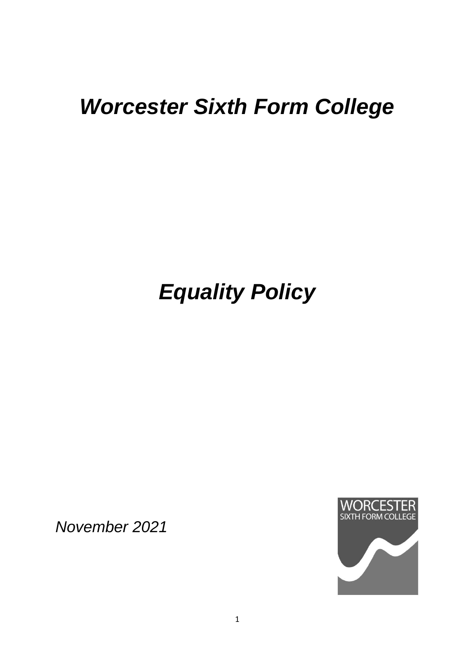## *Worcester Sixth Form College*

# *Equality Policy*

*November 2021*

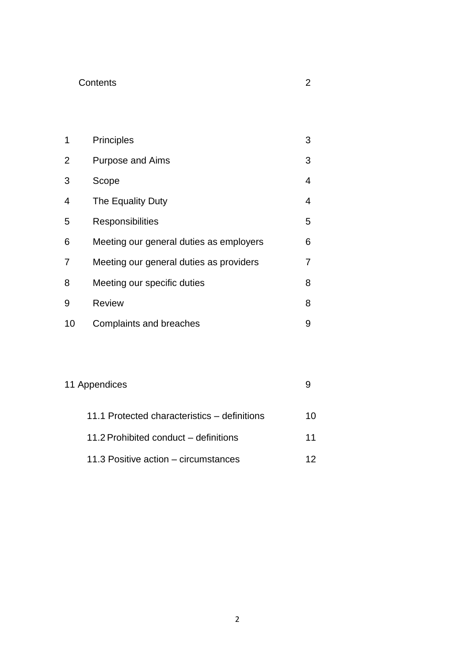#### **Contents**

| ×<br>۰,<br>.,<br>S |  |
|--------------------|--|
| ĉ<br>I<br>I<br>. . |  |
|                    |  |

| 1              | <b>Principles</b>                       | 3 |
|----------------|-----------------------------------------|---|
| $\overline{2}$ | <b>Purpose and Aims</b>                 | 3 |
| 3              | Scope                                   | 4 |
| 4              | The Equality Duty                       | 4 |
| 5              | <b>Responsibilities</b>                 | 5 |
| 6              | Meeting our general duties as employers | 6 |
| 7              | Meeting our general duties as providers | 7 |
| 8              | Meeting our specific duties             | 8 |
| 9              | <b>Review</b>                           | 8 |
| 10             | <b>Complaints and breaches</b>          | 9 |

### 11 Appendices 9

| 11.1 Protected characteristics – definitions | 10. |
|----------------------------------------------|-----|
| 11.2 Prohibited conduct – definitions        | 11  |
| 11.3 Positive action – circumstances         | 12. |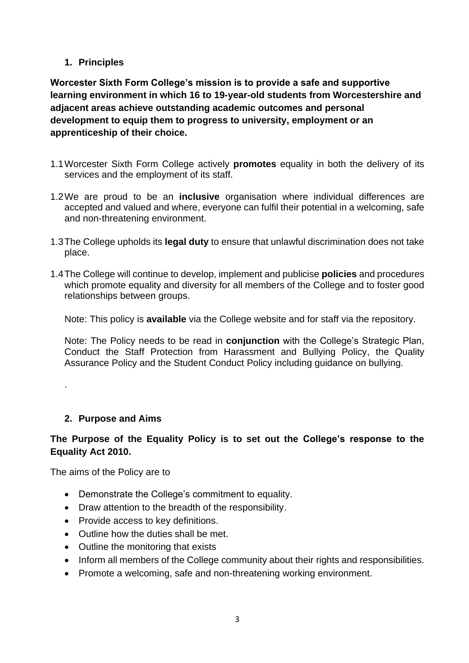#### **1. Principles**

**Worcester Sixth Form College's mission is to provide a safe and supportive learning environment in which 16 to 19-year-old students from Worcestershire and adjacent areas achieve outstanding academic outcomes and personal development to equip them to progress to university, employment or an apprenticeship of their choice.**

- 1.1Worcester Sixth Form College actively **promotes** equality in both the delivery of its services and the employment of its staff.
- 1.2We are proud to be an **inclusive** organisation where individual differences are accepted and valued and where, everyone can fulfil their potential in a welcoming, safe and non-threatening environment.
- 1.3The College upholds its **legal duty** to ensure that unlawful discrimination does not take place.
- 1.4The College will continue to develop, implement and publicise **policies** and procedures which promote equality and diversity for all members of the College and to foster good relationships between groups.

Note: This policy is **available** via the College website and for staff via the repository.

Note: The Policy needs to be read in **conjunction** with the College's Strategic Plan, Conduct the Staff Protection from Harassment and Bullying Policy, the Quality Assurance Policy and the Student Conduct Policy including guidance on bullying.

#### **2. Purpose and Aims**

.

#### **The Purpose of the Equality Policy is to set out the College's response to the Equality Act 2010.**

The aims of the Policy are to

- Demonstrate the College's commitment to equality.
- Draw attention to the breadth of the responsibility.
- Provide access to key definitions.
- Outline how the duties shall be met.
- Outline the monitoring that exists
- Inform all members of the College community about their rights and responsibilities.
- Promote a welcoming, safe and non-threatening working environment.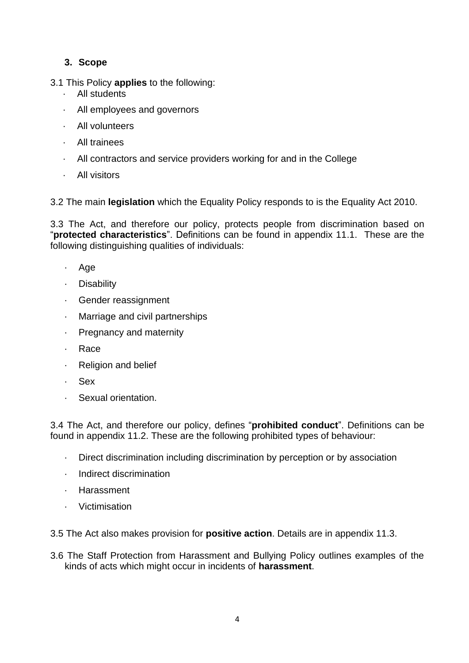#### **3. Scope**

3.1 This Policy **applies** to the following:

- · All students
- · All employees and governors
- All volunteers
- · All trainees
- · All contractors and service providers working for and in the College
- · All visitors

3.2 The main **legislation** which the Equality Policy responds to is the Equality Act 2010.

3.3 The Act, and therefore our policy, protects people from discrimination based on "**protected characteristics**". Definitions can be found in appendix 11.1. These are the following distinguishing qualities of individuals:

- · Age
- · Disability
- Gender reassignment
- · Marriage and civil partnerships
- · Pregnancy and maternity
- · Race
- **Religion and belief**
- · Sex
- · Sexual orientation.

3.4 The Act, and therefore our policy, defines "**prohibited conduct**". Definitions can be found in appendix 11.2. These are the following prohibited types of behaviour:

- · Direct discrimination including discrimination by perception or by association
- · Indirect discrimination
- · Harassment
- · Victimisation

3.5 The Act also makes provision for **positive action**. Details are in appendix 11.3.

3.6 The Staff Protection from Harassment and Bullying Policy outlines examples of the kinds of acts which might occur in incidents of **harassment**.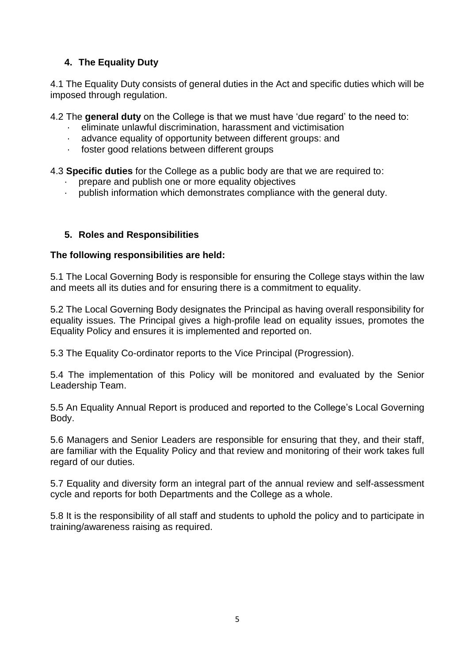#### **4. The Equality Duty**

4.1 The Equality Duty consists of general duties in the Act and specific duties which will be imposed through regulation.

4.2 The **general duty** on the College is that we must have 'due regard' to the need to:

- · eliminate unlawful discrimination, harassment and victimisation
- advance equality of opportunity between different groups: and
- foster good relations between different groups

4.3 **Specific duties** for the College as a public body are that we are required to:

- prepare and publish one or more equality objectives
- publish information which demonstrates compliance with the general duty.

#### **5. Roles and Responsibilities**

#### **The following responsibilities are held:**

5.1 The Local Governing Body is responsible for ensuring the College stays within the law and meets all its duties and for ensuring there is a commitment to equality.

5.2 The Local Governing Body designates the Principal as having overall responsibility for equality issues. The Principal gives a high-profile lead on equality issues, promotes the Equality Policy and ensures it is implemented and reported on.

5.3 The Equality Co-ordinator reports to the Vice Principal (Progression).

5.4 The implementation of this Policy will be monitored and evaluated by the Senior Leadership Team.

5.5 An Equality Annual Report is produced and reported to the College's Local Governing Body.

5.6 Managers and Senior Leaders are responsible for ensuring that they, and their staff, are familiar with the Equality Policy and that review and monitoring of their work takes full regard of our duties.

5.7 Equality and diversity form an integral part of the annual review and self-assessment cycle and reports for both Departments and the College as a whole.

5.8 It is the responsibility of all staff and students to uphold the policy and to participate in training/awareness raising as required.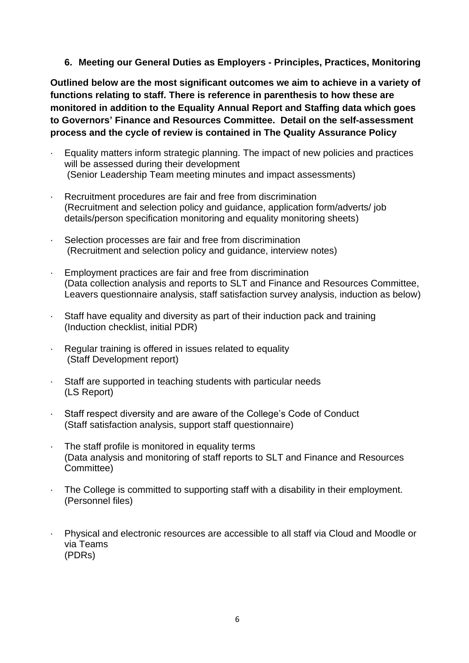**6. Meeting our General Duties as Employers - Principles, Practices, Monitoring**

**Outlined below are the most significant outcomes we aim to achieve in a variety of functions relating to staff. There is reference in parenthesis to how these are monitored in addition to the Equality Annual Report and Staffing data which goes to Governors' Finance and Resources Committee. Detail on the self-assessment process and the cycle of review is contained in The Quality Assurance Policy**

- Equality matters inform strategic planning. The impact of new policies and practices will be assessed during their development (Senior Leadership Team meeting minutes and impact assessments)
- · Recruitment procedures are fair and free from discrimination (Recruitment and selection policy and guidance, application form/adverts/ job details/person specification monitoring and equality monitoring sheets)
- Selection processes are fair and free from discrimination (Recruitment and selection policy and guidance, interview notes)
- Employment practices are fair and free from discrimination (Data collection analysis and reports to SLT and Finance and Resources Committee, Leavers questionnaire analysis, staff satisfaction survey analysis, induction as below)
- Staff have equality and diversity as part of their induction pack and training (Induction checklist, initial PDR)
- Regular training is offered in issues related to equality (Staff Development report)
- · Staff are supported in teaching students with particular needs (LS Report)
- · Staff respect diversity and are aware of the College's Code of Conduct (Staff satisfaction analysis, support staff questionnaire)
- · The staff profile is monitored in equality terms (Data analysis and monitoring of staff reports to SLT and Finance and Resources Committee)
- The College is committed to supporting staff with a disability in their employment. (Personnel files)
- Physical and electronic resources are accessible to all staff via Cloud and Moodle or via Teams (PDRs)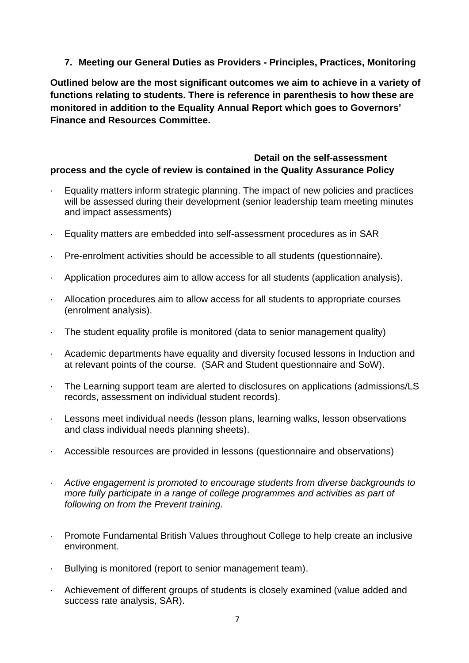**7. Meeting our General Duties as Providers - Principles, Practices, Monitoring**

**Outlined below are the most significant outcomes we aim to achieve in a variety of functions relating to students. There is reference in parenthesis to how these are monitored in addition to the Equality Annual Report which goes to Governors' Finance and Resources Committee.**

#### **Detail on the self-assessment process and the cycle of review is contained in the Quality Assurance Policy**

- Equality matters inform strategic planning. The impact of new policies and practices will be assessed during their development (senior leadership team meeting minutes and impact assessments)
- · Equality matters are embedded into self-assessment procedures as in SAR
- · Pre-enrolment activities should be accessible to all students (questionnaire).
- · Application procedures aim to allow access for all students (application analysis).
- · Allocation procedures aim to allow access for all students to appropriate courses (enrolment analysis).
- · The student equality profile is monitored (data to senior management quality)
- · Academic departments have equality and diversity focused lessons in Induction and at relevant points of the course. (SAR and Student questionnaire and SoW).
- · The Learning support team are alerted to disclosures on applications (admissions/LS records, assessment on individual student records).
- · Lessons meet individual needs (lesson plans, learning walks, lesson observations and class individual needs planning sheets).
- · Accessible resources are provided in lessons (questionnaire and observations)
- · *Active engagement is promoted to encourage students from diverse backgrounds to more fully participate in a range of college programmes and activities as part of following on from the Prevent training.*
- · Promote Fundamental British Values throughout College to help create an inclusive environment.
- · Bullying is monitored (report to senior management team).
- · Achievement of different groups of students is closely examined (value added and success rate analysis, SAR).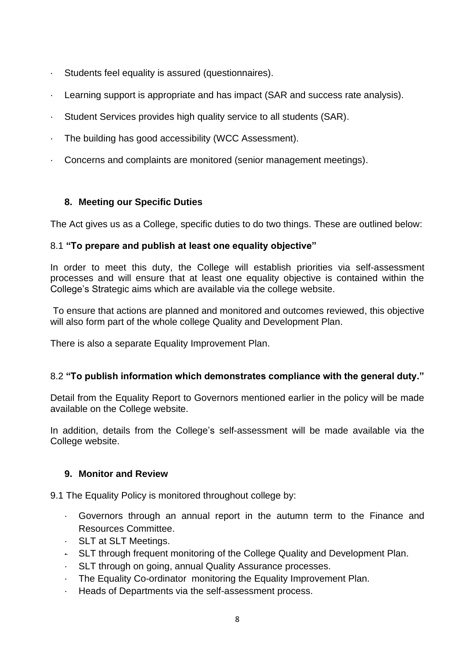- Students feel equality is assured (questionnaires).
- · Learning support is appropriate and has impact (SAR and success rate analysis).
- · Student Services provides high quality service to all students (SAR).
- · The building has good accessibility (WCC Assessment).
- · Concerns and complaints are monitored (senior management meetings).

#### **8. Meeting our Specific Duties**

The Act gives us as a College, specific duties to do two things. These are outlined below:

#### 8.1 **"To prepare and publish at least one equality objective"**

In order to meet this duty, the College will establish priorities via self-assessment processes and will ensure that at least one equality objective is contained within the College's Strategic aims which are available via the college website.

To ensure that actions are planned and monitored and outcomes reviewed, this objective will also form part of the whole college Quality and Development Plan.

There is also a separate Equality Improvement Plan.

#### 8.2 **"To publish information which demonstrates compliance with the general duty."**

Detail from the Equality Report to Governors mentioned earlier in the policy will be made available on the College website.

In addition, details from the College's self-assessment will be made available via the College website.

#### **9. Monitor and Review**

9.1 The Equality Policy is monitored throughout college by:

- · Governors through an annual report in the autumn term to the Finance and Resources Committee.
- · SLT at SLT Meetings.
- · SLT through frequent monitoring of the College Quality and Development Plan.
- SLT through on going, annual Quality Assurance processes.
- The Equality Co-ordinator monitoring the Equality Improvement Plan.
- Heads of Departments via the self-assessment process.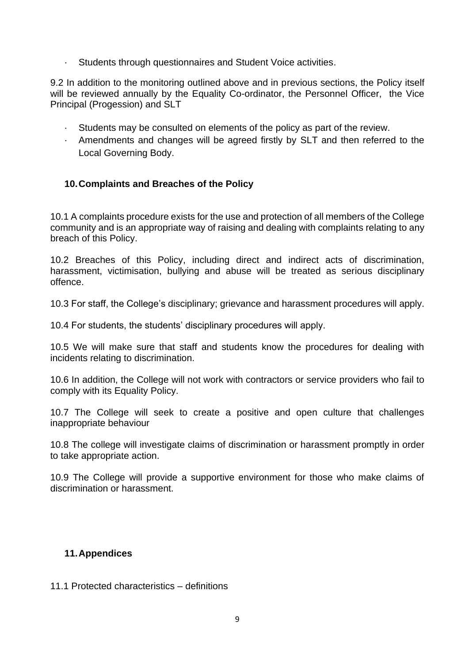· Students through questionnaires and Student Voice activities.

9.2 In addition to the monitoring outlined above and in previous sections, the Policy itself will be reviewed annually by the Equality Co-ordinator, the Personnel Officer, the Vice Principal (Progession) and SLT

- · Students may be consulted on elements of the policy as part of the review.
- · Amendments and changes will be agreed firstly by SLT and then referred to the Local Governing Body.

#### **10.Complaints and Breaches of the Policy**

10.1 A complaints procedure exists for the use and protection of all members of the College community and is an appropriate way of raising and dealing with complaints relating to any breach of this Policy.

10.2 Breaches of this Policy, including direct and indirect acts of discrimination, harassment, victimisation, bullying and abuse will be treated as serious disciplinary offence.

10.3 For staff, the College's disciplinary; grievance and harassment procedures will apply.

10.4 For students, the students' disciplinary procedures will apply.

10.5 We will make sure that staff and students know the procedures for dealing with incidents relating to discrimination.

10.6 In addition, the College will not work with contractors or service providers who fail to comply with its Equality Policy.

10.7 The College will seek to create a positive and open culture that challenges inappropriate behaviour

10.8 The college will investigate claims of discrimination or harassment promptly in order to take appropriate action.

10.9 The College will provide a supportive environment for those who make claims of discrimination or harassment.

#### **11.Appendices**

11.1 Protected characteristics – definitions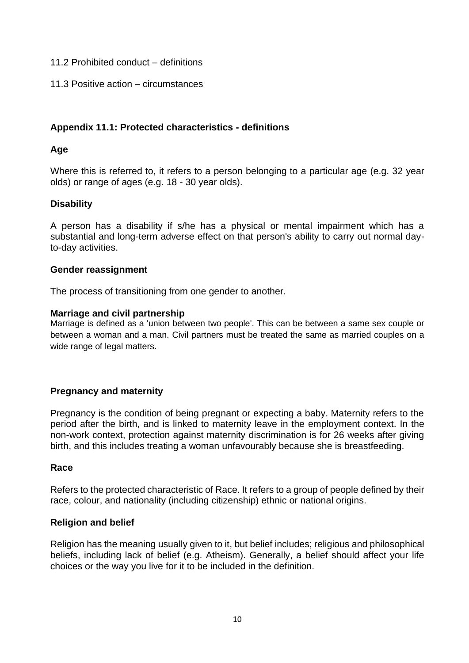#### 11.2 Prohibited conduct – definitions

11.3 Positive action – circumstances

#### **Appendix 11.1: Protected characteristics - definitions**

#### **Age**

Where this is referred to, it refers to a person belonging to a particular age (e.g. 32 year olds) or range of ages (e.g. 18 - 30 year olds).

#### **Disability**

A person has a disability if s/he has a physical or mental impairment which has a substantial and long-term adverse effect on that person's ability to carry out normal dayto-day activities.

#### **Gender reassignment**

The process of transitioning from one gender to another.

#### **Marriage and civil partnership**

Marriage is defined as a 'union between two people'. This can be between a same sex couple or between a woman and a man. Civil partners must be treated the same as married couples on a wide range of legal matters.

#### **Pregnancy and maternity**

Pregnancy is the condition of being pregnant or expecting a baby. Maternity refers to the period after the birth, and is linked to maternity leave in the employment context. In the non-work context, protection against maternity discrimination is for 26 weeks after giving birth, and this includes treating a woman unfavourably because she is breastfeeding.

#### **Race**

Refers to the protected characteristic of Race. It refers to a group of people defined by their race, colour, and nationality (including citizenship) ethnic or national origins.

#### **Religion and belief**

Religion has the meaning usually given to it, but belief includes; religious and philosophical beliefs, including lack of belief (e.g. Atheism). Generally, a belief should affect your life choices or the way you live for it to be included in the definition.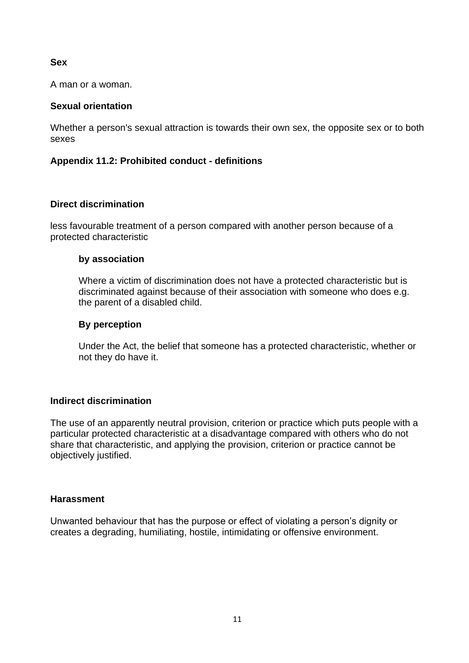#### **Sex**

A man or a woman.

#### **Sexual orientation**

Whether a person's sexual attraction is towards their own sex, the opposite sex or to both sexes

#### **Appendix 11.2: Prohibited conduct - definitions**

#### **Direct discrimination**

less favourable treatment of a person compared with another person because of a protected characteristic

#### **by association**

Where a victim of discrimination does not have a protected characteristic but is discriminated against because of their association with someone who does e.g. the parent of a disabled child.

#### **By perception**

Under the Act, the belief that someone has a protected characteristic, whether or not they do have it.

#### **Indirect discrimination**

The use of an apparently neutral provision, criterion or practice which puts people with a particular protected characteristic at a disadvantage compared with others who do not share that characteristic, and applying the provision, criterion or practice cannot be objectively justified.

#### **Harassment**

Unwanted behaviour that has the purpose or effect of violating a person's dignity or creates a degrading, humiliating, hostile, intimidating or offensive environment.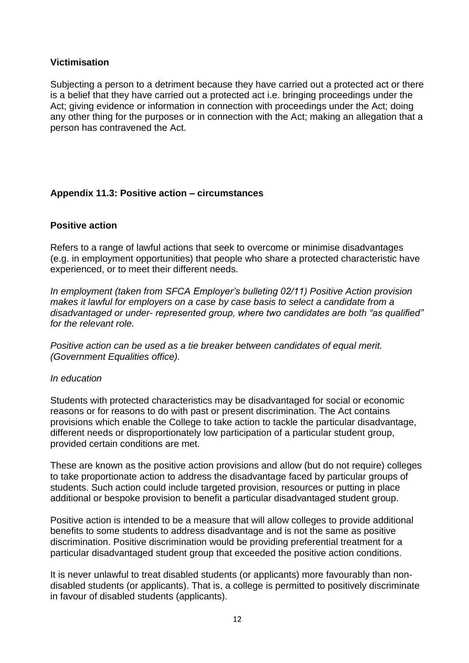#### **Victimisation**

Subjecting a person to a detriment because they have carried out a protected act or there is a belief that they have carried out a protected act i.e. bringing proceedings under the Act; giving evidence or information in connection with proceedings under the Act; doing any other thing for the purposes or in connection with the Act; making an allegation that a person has contravened the Act.

#### **Appendix 11.3: Positive action – circumstances**

#### **Positive action**

Refers to a range of lawful actions that seek to overcome or minimise disadvantages (e.g. in employment opportunities) that people who share a protected characteristic have experienced, or to meet their different needs.

*In employment (taken from SFCA Employer's bulleting 02/11) Positive Action provision makes it lawful for employers on a case by case basis to select a candidate from a disadvantaged or under- represented group, where two candidates are both "as qualified" for the relevant role.*

*Positive action can be used as a tie breaker between candidates of equal merit. (Government Equalities office).*

#### *In education*

Students with protected characteristics may be disadvantaged for social or economic reasons or for reasons to do with past or present discrimination. The Act contains provisions which enable the College to take action to tackle the particular disadvantage, different needs or disproportionately low participation of a particular student group, provided certain conditions are met.

These are known as the positive action provisions and allow (but do not require) colleges to take proportionate action to address the disadvantage faced by particular groups of students. Such action could include targeted provision, resources or putting in place additional or bespoke provision to benefit a particular disadvantaged student group.

Positive action is intended to be a measure that will allow colleges to provide additional benefits to some students to address disadvantage and is not the same as positive discrimination. Positive discrimination would be providing preferential treatment for a particular disadvantaged student group that exceeded the positive action conditions.

It is never unlawful to treat disabled students (or applicants) more favourably than nondisabled students (or applicants). That is, a college is permitted to positively discriminate in favour of disabled students (applicants).